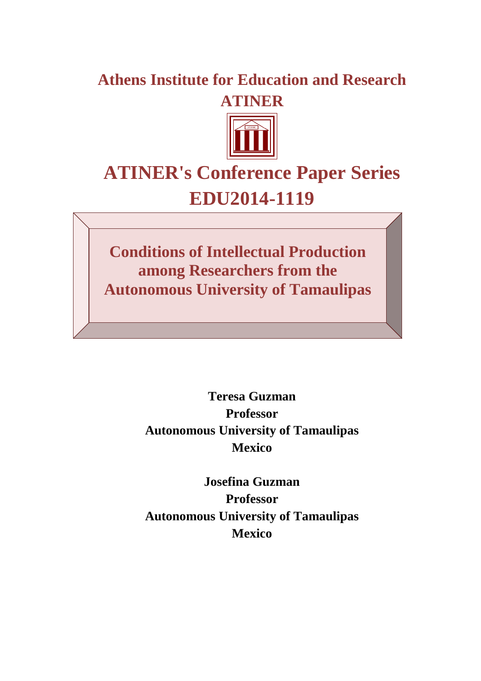## **Athens Institute for Education and Research ATINER**



# **ATINER's Conference Paper Series EDU2014-1119**

**Conditions of Intellectual Production among Researchers from the Autonomous University of Tamaulipas**

> **Teresa Guzman Professor Autonomous University of Tamaulipas Mexico**

> **Josefina Guzman Professor Autonomous University of Tamaulipas Mexico**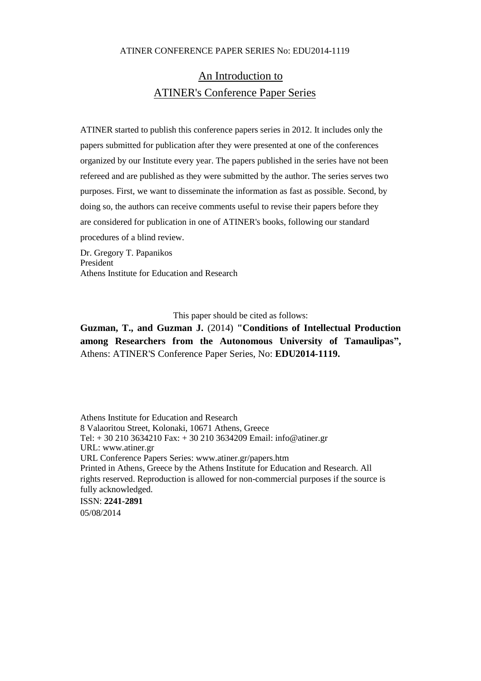## An Introduction to ATINER's Conference Paper Series

ATINER started to publish this conference papers series in 2012. It includes only the papers submitted for publication after they were presented at one of the conferences organized by our Institute every year. The papers published in the series have not been refereed and are published as they were submitted by the author. The series serves two purposes. First, we want to disseminate the information as fast as possible. Second, by doing so, the authors can receive comments useful to revise their papers before they are considered for publication in one of ATINER's books, following our standard procedures of a blind review.

Dr. Gregory T. Papanikos President Athens Institute for Education and Research

This paper should be cited as follows:

**Guzman, T., and Guzman J.** (2014) **"Conditions of Intellectual Production among Researchers from the Autonomous University of Tamaulipas",** Athens: ATINER'S Conference Paper Series, No: **EDU2014-1119.**

Athens Institute for Education and Research 8 Valaoritou Street, Kolonaki, 10671 Athens, Greece Tel: + 30 210 3634210 Fax: + 30 210 3634209 Email: info@atiner.gr URL: www.atiner.gr URL Conference Papers Series: www.atiner.gr/papers.htm Printed in Athens, Greece by the Athens Institute for Education and Research. All rights reserved. Reproduction is allowed for non-commercial purposes if the source is fully acknowledged. ISSN: **2241-2891** 05/08/2014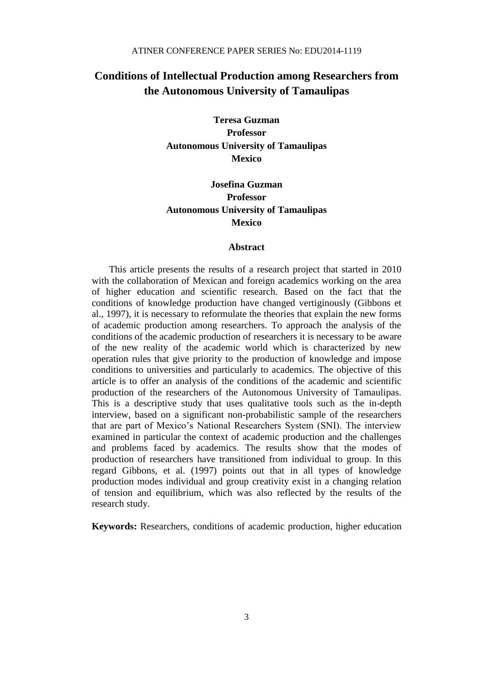## **Conditions of Intellectual Production among Researchers from the Autonomous University of Tamaulipas**

**Teresa Guzman Professor Autonomous University of Tamaulipas Mexico** 

### **Josefina Guzman Professor Autonomous University of Tamaulipas Mexico**

#### **Abstract**

This article presents the results of a research project that started in 2010 with the collaboration of Mexican and foreign academics working on the area of higher education and scientific research. Based on the fact that the conditions of knowledge production have changed vertiginously (Gibbons et al., 1997), it is necessary to reformulate the theories that explain the new forms of academic production among researchers. To approach the analysis of the conditions of the academic production of researchers it is necessary to be aware of the new reality of the academic world which is characterized by new operation rules that give priority to the production of knowledge and impose conditions to universities and particularly to academics. The objective of this article is to offer an analysis of the conditions of the academic and scientific production of the researchers of the Autonomous University of Tamaulipas. This is a descriptive study that uses qualitative tools such as the in-depth interview, based on a significant non-probabilistic sample of the researchers that are part of Mexico's National Researchers System (SNI). The interview examined in particular the context of academic production and the challenges and problems faced by academics. The results show that the modes of production of researchers have transitioned from individual to group. In this regard Gibbons, et al. (1997) points out that in all types of knowledge production modes individual and group creativity exist in a changing relation of tension and equilibrium, which was also reflected by the results of the research study.

**Keywords:** Researchers, conditions of academic production, higher education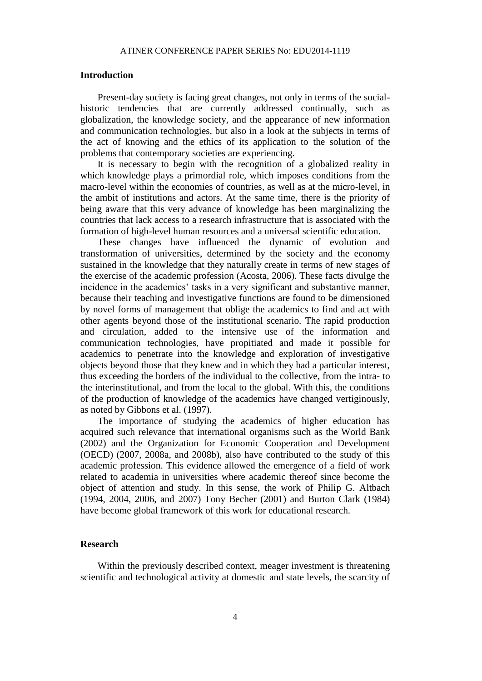#### **Introduction**

Present-day society is facing great changes, not only in terms of the socialhistoric tendencies that are currently addressed continually, such as globalization, the knowledge society, and the appearance of new information and communication technologies, but also in a look at the subjects in terms of the act of knowing and the ethics of its application to the solution of the problems that contemporary societies are experiencing.

It is necessary to begin with the recognition of a globalized reality in which knowledge plays a primordial role, which imposes conditions from the macro-level within the economies of countries, as well as at the micro-level, in the ambit of institutions and actors. At the same time, there is the priority of being aware that this very advance of knowledge has been marginalizing the countries that lack access to a research infrastructure that is associated with the formation of high-level human resources and a universal scientific education.

These changes have influenced the dynamic of evolution and transformation of universities, determined by the society and the economy sustained in the knowledge that they naturally create in terms of new stages of the exercise of the academic profession (Acosta, 2006). These facts divulge the incidence in the academics' tasks in a very significant and substantive manner, because their teaching and investigative functions are found to be dimensioned by novel forms of management that oblige the academics to find and act with other agents beyond those of the institutional scenario. The rapid production and circulation, added to the intensive use of the information and communication technologies, have propitiated and made it possible for academics to penetrate into the knowledge and exploration of investigative objects beyond those that they knew and in which they had a particular interest, thus exceeding the borders of the individual to the collective, from the intra- to the interinstitutional, and from the local to the global. With this, the conditions of the production of knowledge of the academics have changed vertiginously, as noted by Gibbons et al. (1997).

The importance of studying the academics of higher education has acquired such relevance that international organisms such as the World Bank (2002) and the Organization for Economic Cooperation and Development (OECD) (2007, 2008a, and 2008b), also have contributed to the study of this academic profession. This evidence allowed the emergence of a field of work related to academia in universities where academic thereof since become the object of attention and study. In this sense, the work of Philip G. Altbach (1994, 2004, 2006, and 2007) Tony Becher (2001) and Burton Clark (1984) have become global framework of this work for educational research.

#### **Research**

Within the previously described context, meager investment is threatening scientific and technological activity at domestic and state levels, the scarcity of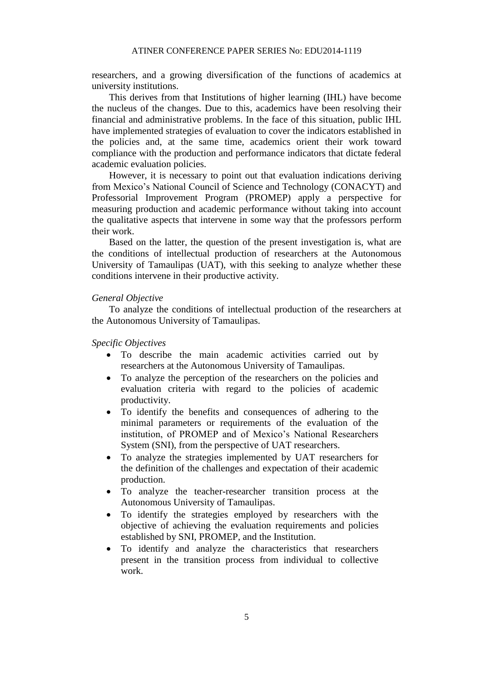researchers, and a growing diversification of the functions of academics at university institutions.

This derives from that Institutions of higher learning (IHL) have become the nucleus of the changes. Due to this, academics have been resolving their financial and administrative problems. In the face of this situation, public IHL have implemented strategies of evaluation to cover the indicators established in the policies and, at the same time, academics orient their work toward compliance with the production and performance indicators that dictate federal academic evaluation policies.

However, it is necessary to point out that evaluation indications deriving from Mexico's National Council of Science and Technology (CONACYT) and Professorial Improvement Program (PROMEP) apply a perspective for measuring production and academic performance without taking into account the qualitative aspects that intervene in some way that the professors perform their work.

Based on the latter, the question of the present investigation is, what are the conditions of intellectual production of researchers at the Autonomous University of Tamaulipas (UAT), with this seeking to analyze whether these conditions intervene in their productive activity.

#### *General Objective*

To analyze the conditions of intellectual production of the researchers at the Autonomous University of Tamaulipas.

*Specific Objectives*

- To describe the main academic activities carried out by researchers at the Autonomous University of Tamaulipas.
- To analyze the perception of the researchers on the policies and evaluation criteria with regard to the policies of academic productivity.
- To identify the benefits and consequences of adhering to the minimal parameters or requirements of the evaluation of the institution, of PROMEP and of Mexico's National Researchers System (SNI), from the perspective of UAT researchers.
- To analyze the strategies implemented by UAT researchers for the definition of the challenges and expectation of their academic production.
- To analyze the teacher-researcher transition process at the Autonomous University of Tamaulipas.
- To identify the strategies employed by researchers with the objective of achieving the evaluation requirements and policies established by SNI, PROMEP, and the Institution.
- To identify and analyze the characteristics that researchers present in the transition process from individual to collective work.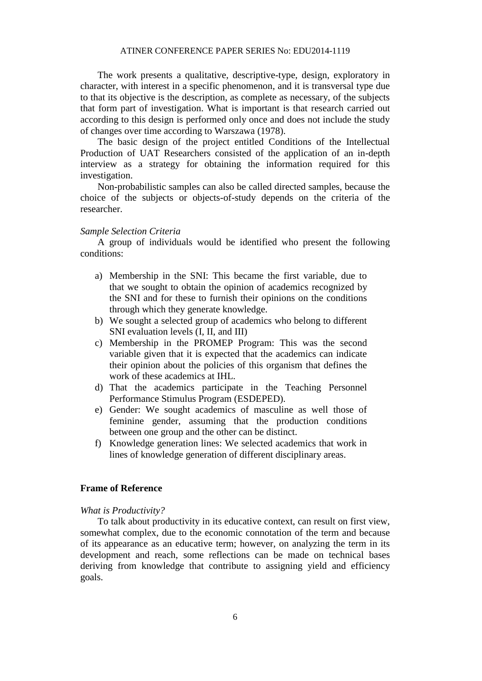The work presents a qualitative, descriptive-type, design, exploratory in character, with interest in a specific phenomenon, and it is transversal type due to that its objective is the description, as complete as necessary, of the subjects that form part of investigation. What is important is that research carried out according to this design is performed only once and does not include the study of changes over time according to Warszawa (1978).

The basic design of the project entitled Conditions of the Intellectual Production of UAT Researchers consisted of the application of an in-depth interview as a strategy for obtaining the information required for this investigation.

Non-probabilistic samples can also be called directed samples, because the choice of the subjects or objects-of-study depends on the criteria of the researcher.

#### *Sample Selection Criteria*

A group of individuals would be identified who present the following conditions:

- a) Membership in the SNI: This became the first variable, due to that we sought to obtain the opinion of academics recognized by the SNI and for these to furnish their opinions on the conditions through which they generate knowledge.
- b) We sought a selected group of academics who belong to different SNI evaluation levels (I, II, and III)
- c) Membership in the PROMEP Program: This was the second variable given that it is expected that the academics can indicate their opinion about the policies of this organism that defines the work of these academics at IHL.
- d) That the academics participate in the Teaching Personnel Performance Stimulus Program (ESDEPED).
- e) Gender: We sought academics of masculine as well those of feminine gender, assuming that the production conditions between one group and the other can be distinct.
- f) Knowledge generation lines: We selected academics that work in lines of knowledge generation of different disciplinary areas.

#### **Frame of Reference**

*What is Productivity?*

To talk about productivity in its educative context, can result on first view, somewhat complex, due to the economic connotation of the term and because of its appearance as an educative term; however, on analyzing the term in its development and reach, some reflections can be made on technical bases deriving from knowledge that contribute to assigning yield and efficiency goals.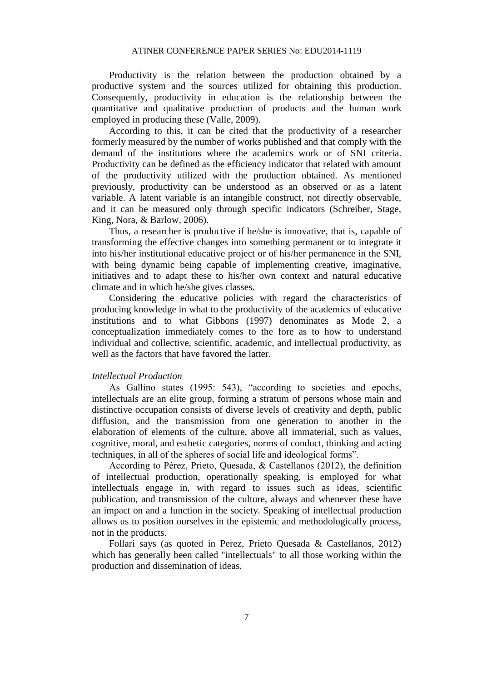Productivity is the relation between the production obtained by a productive system and the sources utilized for obtaining this production. Consequently, productivity in education is the relationship between the quantitative and qualitative production of products and the human work employed in producing these (Valle, 2009).

According to this, it can be cited that the productivity of a researcher formerly measured by the number of works published and that comply with the demand of the institutions where the academics work or of SNI criteria. Productivity can be defined as the efficiency indicator that related with amount of the productivity utilized with the production obtained. As mentioned previously, productivity can be understood as an observed or as a latent variable. A latent variable is an intangible construct, not directly observable, and it can be measured only through specific indicators (Schreiber, Stage, King, Nora, & Barlow, 2006).

Thus, a researcher is productive if he/she is innovative, that is, capable of transforming the effective changes into something permanent or to integrate it into his/her institutional educative project or of his/her permanence in the SNI, with being dynamic being capable of implementing creative, imaginative, initiatives and to adapt these to his/her own context and natural educative climate and in which he/she gives classes.

Considering the educative policies with regard the characteristics of producing knowledge in what to the productivity of the academics of educative institutions and to what Gibbons (1997) denominates as Mode 2, a conceptualization immediately comes to the fore as to how to understand individual and collective, scientific, academic, and intellectual productivity, as well as the factors that have favored the latter.

#### *Intellectual Production*

As Gallino states (1995: 543), "according to societies and epochs, intellectuals are an elite group, forming a stratum of persons whose main and distinctive occupation consists of diverse levels of creativity and depth, public diffusion, and the transmission from one generation to another in the elaboration of elements of the culture, above all immaterial, such as values, cognitive, moral, and esthetic categories, norms of conduct, thinking and acting techniques, in all of the spheres of social life and ideological forms".

According to Pérez, Prieto, Quesada, & Castellanos (2012), the definition of intellectual production, operationally speaking, is employed for what intellectuals engage in, with regard to issues such as ideas, scientific publication, and transmission of the culture, always and whenever these have an impact on and a function in the society. Speaking of intellectual production allows us to position ourselves in the epistemic and methodologically process, not in the products.

Follari says (as quoted in Perez, Prieto Quesada & Castellanos, 2012) which has generally been called "intellectuals" to all those working within the production and dissemination of ideas.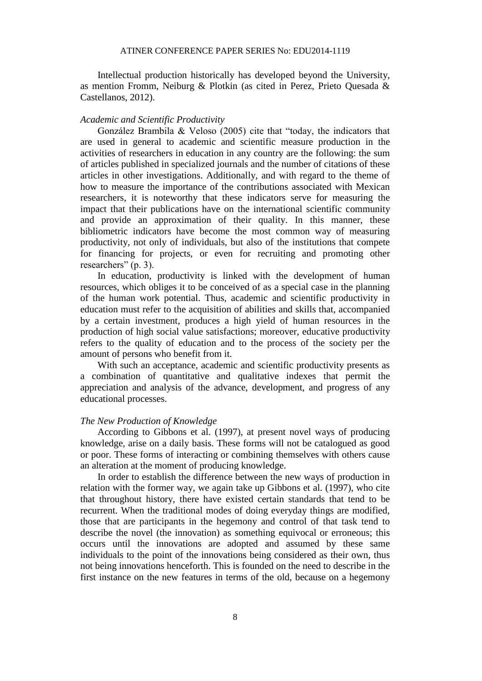Intellectual production historically has developed beyond the University, as mention Fromm, Neiburg & Plotkin (as cited in Perez, Prieto Quesada & Castellanos, 2012).

#### *Academic and Scientific Productivity*

González Brambila & Veloso (2005) cite that "today, the indicators that are used in general to academic and scientific measure production in the activities of researchers in education in any country are the following: the sum of articles published in specialized journals and the number of citations of these articles in other investigations. Additionally, and with regard to the theme of how to measure the importance of the contributions associated with Mexican researchers, it is noteworthy that these indicators serve for measuring the impact that their publications have on the international scientific community and provide an approximation of their quality. In this manner, these bibliometric indicators have become the most common way of measuring productivity, not only of individuals, but also of the institutions that compete for financing for projects, or even for recruiting and promoting other researchers" (p. 3).

In education, productivity is linked with the development of human resources, which obliges it to be conceived of as a special case in the planning of the human work potential. Thus, academic and scientific productivity in education must refer to the acquisition of abilities and skills that, accompanied by a certain investment, produces a high yield of human resources in the production of high social value satisfactions; moreover, educative productivity refers to the quality of education and to the process of the society per the amount of persons who benefit from it.

With such an acceptance, academic and scientific productivity presents as a combination of quantitative and qualitative indexes that permit the appreciation and analysis of the advance, development, and progress of any educational processes.

#### *The New Production of Knowledge*

According to Gibbons et al. (1997), at present novel ways of producing knowledge, arise on a daily basis. These forms will not be catalogued as good or poor. These forms of interacting or combining themselves with others cause an alteration at the moment of producing knowledge.

In order to establish the difference between the new ways of production in relation with the former way, we again take up Gibbons et al. (1997), who cite that throughout history, there have existed certain standards that tend to be recurrent. When the traditional modes of doing everyday things are modified, those that are participants in the hegemony and control of that task tend to describe the novel (the innovation) as something equivocal or erroneous; this occurs until the innovations are adopted and assumed by these same individuals to the point of the innovations being considered as their own, thus not being innovations henceforth. This is founded on the need to describe in the first instance on the new features in terms of the old, because on a hegemony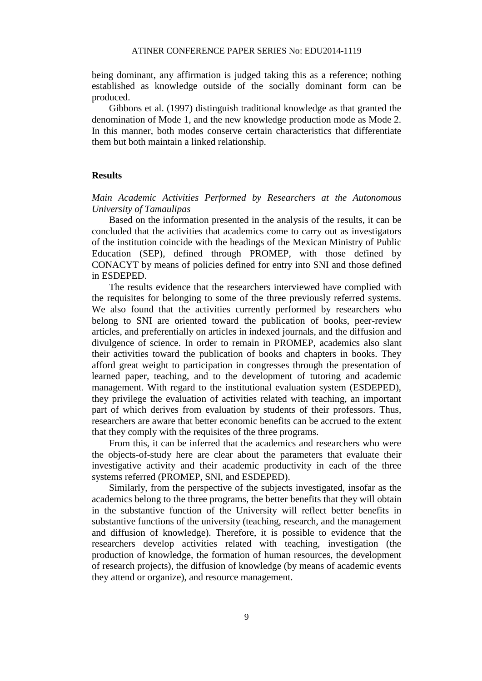being dominant, any affirmation is judged taking this as a reference; nothing established as knowledge outside of the socially dominant form can be produced.

Gibbons et al. (1997) distinguish traditional knowledge as that granted the denomination of Mode 1, and the new knowledge production mode as Mode 2. In this manner, both modes conserve certain characteristics that differentiate them but both maintain a linked relationship.

#### **Results**

*Main Academic Activities Performed by Researchers at the Autonomous University of Tamaulipas* 

Based on the information presented in the analysis of the results, it can be concluded that the activities that academics come to carry out as investigators of the institution coincide with the headings of the Mexican Ministry of Public Education (SEP), defined through PROMEP, with those defined by CONACYT by means of policies defined for entry into SNI and those defined in ESDEPED.

The results evidence that the researchers interviewed have complied with the requisites for belonging to some of the three previously referred systems. We also found that the activities currently performed by researchers who belong to SNI are oriented toward the publication of books, peer-review articles, and preferentially on articles in indexed journals, and the diffusion and divulgence of science. In order to remain in PROMEP, academics also slant their activities toward the publication of books and chapters in books. They afford great weight to participation in congresses through the presentation of learned paper, teaching, and to the development of tutoring and academic management. With regard to the institutional evaluation system (ESDEPED), they privilege the evaluation of activities related with teaching, an important part of which derives from evaluation by students of their professors. Thus, researchers are aware that better economic benefits can be accrued to the extent that they comply with the requisites of the three programs.

From this, it can be inferred that the academics and researchers who were the objects-of-study here are clear about the parameters that evaluate their investigative activity and their academic productivity in each of the three systems referred (PROMEP, SNI, and ESDEPED).

Similarly, from the perspective of the subjects investigated, insofar as the academics belong to the three programs, the better benefits that they will obtain in the substantive function of the University will reflect better benefits in substantive functions of the university (teaching, research, and the management and diffusion of knowledge). Therefore, it is possible to evidence that the researchers develop activities related with teaching, investigation (the production of knowledge, the formation of human resources, the development of research projects), the diffusion of knowledge (by means of academic events they attend or organize), and resource management.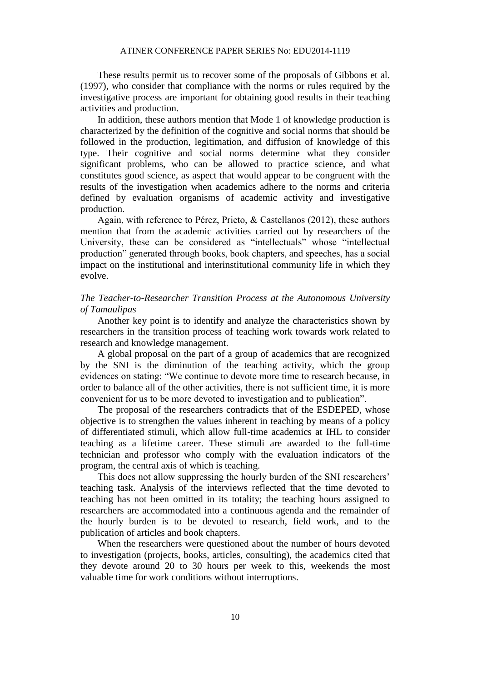These results permit us to recover some of the proposals of Gibbons et al. (1997), who consider that compliance with the norms or rules required by the investigative process are important for obtaining good results in their teaching activities and production.

In addition, these authors mention that Mode 1 of knowledge production is characterized by the definition of the cognitive and social norms that should be followed in the production, legitimation, and diffusion of knowledge of this type. Their cognitive and social norms determine what they consider significant problems, who can be allowed to practice science, and what constitutes good science, as aspect that would appear to be congruent with the results of the investigation when academics adhere to the norms and criteria defined by evaluation organisms of academic activity and investigative production.

Again, with reference to Pérez, Prieto, & Castellanos (2012), these authors mention that from the academic activities carried out by researchers of the University, these can be considered as "intellectuals" whose "intellectual production" generated through books, book chapters, and speeches, has a social impact on the institutional and interinstitutional community life in which they evolve.

#### *The Teacher-to-Researcher Transition Process at the Autonomous University of Tamaulipas*

Another key point is to identify and analyze the characteristics shown by researchers in the transition process of teaching work towards work related to research and knowledge management.

A global proposal on the part of a group of academics that are recognized by the SNI is the diminution of the teaching activity, which the group evidences on stating: "We continue to devote more time to research because, in order to balance all of the other activities, there is not sufficient time, it is more convenient for us to be more devoted to investigation and to publication".

The proposal of the researchers contradicts that of the ESDEPED, whose objective is to strengthen the values inherent in teaching by means of a policy of differentiated stimuli, which allow full-time academics at IHL to consider teaching as a lifetime career. These stimuli are awarded to the full-time technician and professor who comply with the evaluation indicators of the program, the central axis of which is teaching.

This does not allow suppressing the hourly burden of the SNI researchers' teaching task. Analysis of the interviews reflected that the time devoted to teaching has not been omitted in its totality; the teaching hours assigned to researchers are accommodated into a continuous agenda and the remainder of the hourly burden is to be devoted to research, field work, and to the publication of articles and book chapters.

When the researchers were questioned about the number of hours devoted to investigation (projects, books, articles, consulting), the academics cited that they devote around 20 to 30 hours per week to this, weekends the most valuable time for work conditions without interruptions.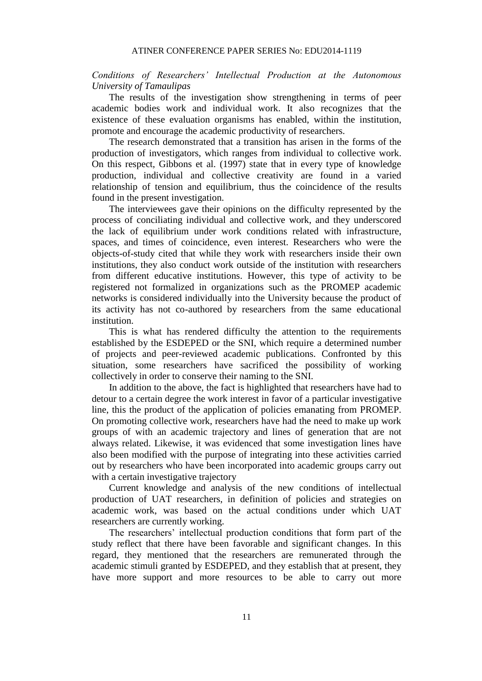#### *Conditions of Researchers' Intellectual Production at the Autonomous University of Tamaulipas*

The results of the investigation show strengthening in terms of peer academic bodies work and individual work. It also recognizes that the existence of these evaluation organisms has enabled, within the institution, promote and encourage the academic productivity of researchers.

The research demonstrated that a transition has arisen in the forms of the production of investigators, which ranges from individual to collective work. On this respect, Gibbons et al. (1997) state that in every type of knowledge production, individual and collective creativity are found in a varied relationship of tension and equilibrium, thus the coincidence of the results found in the present investigation.

The interviewees gave their opinions on the difficulty represented by the process of conciliating individual and collective work, and they underscored the lack of equilibrium under work conditions related with infrastructure, spaces, and times of coincidence, even interest. Researchers who were the objects-of-study cited that while they work with researchers inside their own institutions, they also conduct work outside of the institution with researchers from different educative institutions. However, this type of activity to be registered not formalized in organizations such as the PROMEP academic networks is considered individually into the University because the product of its activity has not co-authored by researchers from the same educational institution.

This is what has rendered difficulty the attention to the requirements established by the ESDEPED or the SNI, which require a determined number of projects and peer-reviewed academic publications. Confronted by this situation, some researchers have sacrificed the possibility of working collectively in order to conserve their naming to the SNI.

In addition to the above, the fact is highlighted that researchers have had to detour to a certain degree the work interest in favor of a particular investigative line, this the product of the application of policies emanating from PROMEP. On promoting collective work, researchers have had the need to make up work groups of with an academic trajectory and lines of generation that are not always related. Likewise, it was evidenced that some investigation lines have also been modified with the purpose of integrating into these activities carried out by researchers who have been incorporated into academic groups carry out with a certain investigative trajectory

Current knowledge and analysis of the new conditions of intellectual production of UAT researchers, in definition of policies and strategies on academic work, was based on the actual conditions under which UAT researchers are currently working.

The researchers' intellectual production conditions that form part of the study reflect that there have been favorable and significant changes. In this regard, they mentioned that the researchers are remunerated through the academic stimuli granted by ESDEPED, and they establish that at present, they have more support and more resources to be able to carry out more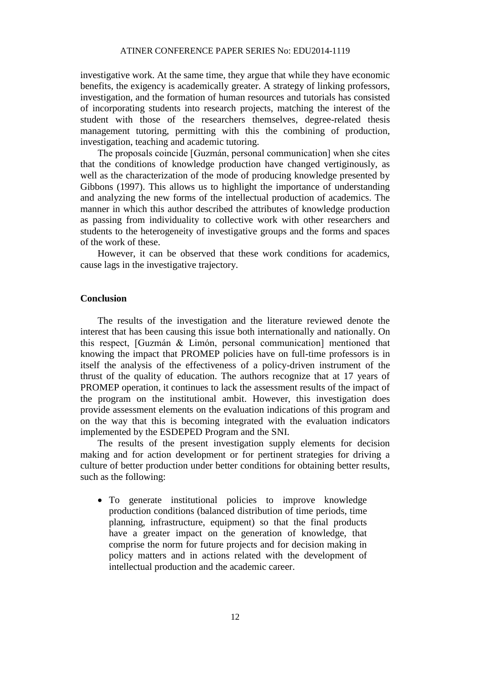investigative work. At the same time, they argue that while they have economic benefits, the exigency is academically greater. A strategy of linking professors, investigation, and the formation of human resources and tutorials has consisted of incorporating students into research projects, matching the interest of the student with those of the researchers themselves, degree-related thesis management tutoring, permitting with this the combining of production, investigation, teaching and academic tutoring.

The proposals coincide [Guzmán, personal communication] when she cites that the conditions of knowledge production have changed vertiginously, as well as the characterization of the mode of producing knowledge presented by Gibbons (1997). This allows us to highlight the importance of understanding and analyzing the new forms of the intellectual production of academics. The manner in which this author described the attributes of knowledge production as passing from individuality to collective work with other researchers and students to the heterogeneity of investigative groups and the forms and spaces of the work of these.

However, it can be observed that these work conditions for academics, cause lags in the investigative trajectory.

#### **Conclusion**

The results of the investigation and the literature reviewed denote the interest that has been causing this issue both internationally and nationally. On this respect, [Guzmán & Limón, personal communication] mentioned that knowing the impact that PROMEP policies have on full-time professors is in itself the analysis of the effectiveness of a policy-driven instrument of the thrust of the quality of education. The authors recognize that at 17 years of PROMEP operation, it continues to lack the assessment results of the impact of the program on the institutional ambit. However, this investigation does provide assessment elements on the evaluation indications of this program and on the way that this is becoming integrated with the evaluation indicators implemented by the ESDEPED Program and the SNI.

The results of the present investigation supply elements for decision making and for action development or for pertinent strategies for driving a culture of better production under better conditions for obtaining better results, such as the following:

 To generate institutional policies to improve knowledge production conditions (balanced distribution of time periods, time planning, infrastructure, equipment) so that the final products have a greater impact on the generation of knowledge, that comprise the norm for future projects and for decision making in policy matters and in actions related with the development of intellectual production and the academic career.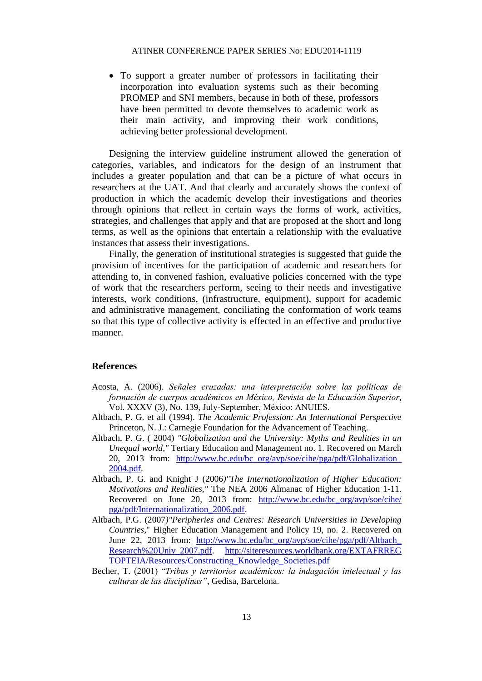To support a greater number of professors in facilitating their incorporation into evaluation systems such as their becoming PROMEP and SNI members, because in both of these, professors have been permitted to devote themselves to academic work as their main activity, and improving their work conditions, achieving better professional development.

Designing the interview guideline instrument allowed the generation of categories, variables, and indicators for the design of an instrument that includes a greater population and that can be a picture of what occurs in researchers at the UAT. And that clearly and accurately shows the context of production in which the academic develop their investigations and theories through opinions that reflect in certain ways the forms of work, activities, strategies, and challenges that apply and that are proposed at the short and long terms, as well as the opinions that entertain a relationship with the evaluative instances that assess their investigations.

Finally, the generation of institutional strategies is suggested that guide the provision of incentives for the participation of academic and researchers for attending to, in convened fashion, evaluative policies concerned with the type of work that the researchers perform, seeing to their needs and investigative interests, work conditions, (infrastructure, equipment), support for academic and administrative management, conciliating the conformation of work teams so that this type of collective activity is effected in an effective and productive manner.

#### **References**

- Acosta, A. (2006). *Señales cruzadas: una interpretación sobre las políticas de formación de cuerpos académicos en México, Revista de la Educación Superior*, Vol. XXXV (3), No. 139, July-September, México: ANUIES.
- Altbach, P. G. et all (1994). *The Academic Profession: An International Perspective* Princeton, N. J.: Carnegie Foundation for the Advancement of Teaching.
- Altbach, P. G. ( 2004) *"Globalization and the University: Myths and Realities in an Unequal world,"* Tertiary Education and Management no. 1. Recovered on March 20, 2013 from: http://www.bc.edu/bc\_org/avp/soe/cihe/pga/pdf/Globalization [2004.pdf.](http://www.bc.edu/bc_org/avp/soe/cihe/pga/pdf/Globalization_%202004.pdf)
- Altbach, P. G. and Knight J (2006*)"The Internationalization of Higher Education: Motivations and Realities,"* The NEA 2006 Almanac of Higher Education 1-11. Recovered on June 20, 2013 from: [http://www.bc.edu/bc\\_org/avp/soe/cihe/](http://www.bc.edu/bc_org/avp/soe/cihe/%20pga/pdf/Internationalization_2006.pdf) [pga/pdf/Internationalization\\_2006.pdf.](http://www.bc.edu/bc_org/avp/soe/cihe/%20pga/pdf/Internationalization_2006.pdf)
- Altbach, P.G. (2007*)"Peripheries and Centres: Research Universities in Developing Countries,*" Higher Education Management and Policy 19, no. 2. Recovered on June 22, 2013 from: [http://www.bc.edu/bc\\_org/avp/soe/cihe/pga/pdf/Altbach\\_](http://www.bc.edu/bc_org/avp/soe/cihe/pga/pdf/Altbach_%20Research%20Univ_2007.pdf) [Research%20Univ\\_2007.pdf.](http://www.bc.edu/bc_org/avp/soe/cihe/pga/pdf/Altbach_%20Research%20Univ_2007.pdf) [http://siteresources.worldbank.org/EXTAFRREG](http://siteresources.worldbank.org/EXTAFRREG%20TOPTEIA/Resources/Constructing_Knowledge_Societies.pdf) [TOPTEIA/Resources/Constructing\\_Knowledge\\_Societies.pdf](http://siteresources.worldbank.org/EXTAFRREG%20TOPTEIA/Resources/Constructing_Knowledge_Societies.pdf)
- Becher, T. (2001) "*Tribus y territorios académicos: la indagación intelectual y las culturas de las disciplinas"*, Gedisa, Barcelona.